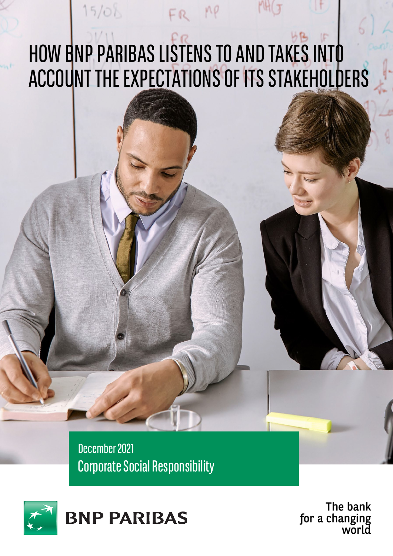# HOW BNP PARIBAS LISTENS TO AND TAKES INTO ACCOUNT THE EXPECTATIONS OF ITS STAKEHOLDERS

FR MP

 $15/08$ 

December 2021 **Corporate Social Responsibility** 



The bank for a changing<br>world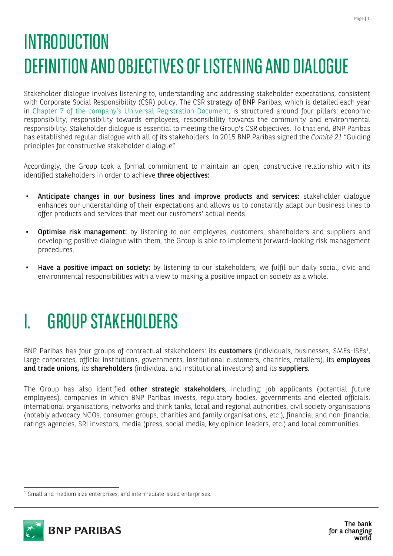## INTRODUCTION DEFINITION AND OBJECTIVES OF LISTENING AND DIALOGUE

Stakeholder dialogue involves listening to, understanding and addressing stakeholder expectations, consistent with Corporate Social Responsibility (CSR) policy. The CSR strategy of BNP Paribas, which is detailed each year in [Chapter 7 of the company's Universal Registration Document, i](https://invest.bnpparibas/en/document/universal-registration-document-and-annual-financial-report-2020#page%3D541)s structured around four pillars: economic responsibility, responsibility towards employees, responsibility towards the community and environmental responsibility. Stakeholder dialogue is essential to meeting the Group's CSR objectives. To that end, BNP Paribas has established regular dialogue with all of its stakeholders. In 2015 BNP Paribas signed the *Comité 21* "Guiding principles for constructive stakeholder dialogue".

Accordingly, the Group took a formal commitment to maintain an open, constructive relationship with its identified stakeholders in order to achieve three objectives:

- Anticipate changes in our business lines and improve products and services: stakeholder dialogue enhances our understanding of their expectations and allows us to constantly adapt our business lines to offer products and services that meet our customers' actual needs.
- Optimise risk management: by listening to our employees, customers, shareholders and suppliers and developing positive dialogue with them, the Group is able to implement forward-looking risk management procedures.
- Have a positive impact on society: by listening to our stakeholders, we fulfil our daily social, civic and environmental responsibilities with a view to making a positive impact on society as a whole.

## **GROUP STAKEHOLDERS**

BNP Paribas has four groups of contractual stakeholders: its customers (individuals, businesses, SMEs-ISEs<sup>1</sup>, large corporates, official institutions, governments, institutional customers, charities, retailers), its employees and trade unions, its shareholders (individual and institutional investors) and its suppliers.

The Group has also identified other strategic stakeholders, including: job applicants (potential future employees), companies in which BNP Paribas invests, regulatory bodies, governments and elected officials, international organisations, networks and think tanks, local and regional authorities, civil society organisations (notably advocacy NGOs, consumer groups, charities and family organisations, etc.), financial and non-financial ratings agencies, SRI investors, media (press, social media, key opinion leaders, etc.) and local communities.

<span id="page-1-0"></span><sup>&</sup>lt;sup>1</sup> Small and medium size enterprises, and intermediate-sized enterprises.

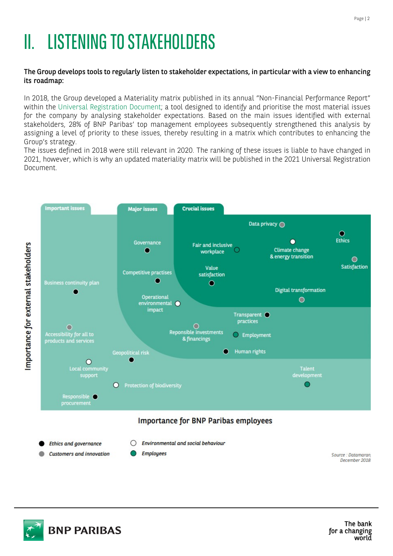## **II. LISTENING TO STAKEHOLDERS**

#### The Group develops tools to regularly listen to stakeholder expectations, in particular with a view to enhancing its roadmap:

In 2018, the Group developed a Materiality matrix published in its annual "Non-Financial Performance Report" within the [Universal Registration Document; a](https://invest.bnpparibas/en/document/universal-registration-document-and-annual-financial-report-2020#page%3D541) tool designed to identify and prioritise the most material issues for the company by analysing stakeholder expectations. Based on the main issues identified with external stakeholders, 28% of BNP Paribas' top management employees subsequently strengthened this analysis by assigning a level of priority to these issues, thereby resulting in a matrix which contributes to enhancing the Group's strategy.

The issues defined in 2018 were still relevant in 2020. The ranking of these issues is liable to have changed in 2021, however, which is why an updated materiality matrix will be published in the 2021 Universal Registration Document.



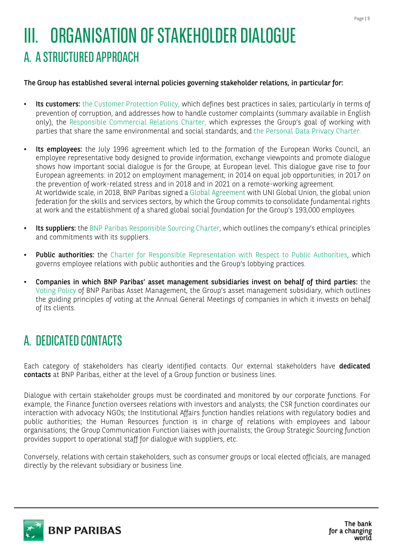## **III. ORGANISATION OF STAKEHOLDER DIALOGUE** A. ASTRUCTUREDAPPROACH

#### The Group has established several internal policies governing stakeholder relations, in particular for:

- **Its customers:** the Customer [Protection](https://group.bnpparibas/uploads/file/summary_updated_abc_policy_legal_edits_002.pdf) Policy, which defines best practices in sales, particularly in terms of prevention of corruption, and addresses how to handle customer complaints (summary available in English only), the [Responsible Commercial Relations Charter, w](https://group.bnpparibas/uploads/file/bnpp_charte_des_relations_commerciales_responsables_vfr.pdf)hich expresses the Group's goal of working with parties that share the same environmental and social standards; and the [Personal Data](https://cdn-group.bnpparibas.com/uploads/file/bnpparibas_personal_data_privacy_charter.pdf) Privacy Charter.
- Its employees: the July 1996 agreement which led to the formation of the European Works Council, an employee representative body designed to provide information, exchange viewpoints and promote dialogue shows how important social dialogue is for the Groupe, at European level. This dialogue gave rise to four European agreements: in 2012 on employment management; in 2014 on equal job opportunities; in 2017 on the prevention of work-related stress and in 2018 and in 2021 on a remote-working agreement. At worldwide scale, in 2018, BNP Paribas signed a Global [Agreement](https://group.bnpparibas/en/press-release/bnp-paribas-strengthens-social-commitment-worldwide) with UNI Global Union, the global union federation for the skills and services sectors, by which the Group commits to consolidate fundamental rights at work and the establishment of a shared global social foundation for the Group's 193,000 employees.
- Its suppliers: the BNP Paribas [Responsible](https://cdn-group.bnpparibas.com/uploads/file/sustainable_sourcing_charter_eng.pdf) Sourcing Charter, which outlines the company's ethical principles and commitments with its suppliers.
- Public authorities: the [Charter for Responsible Representation with Respect to Public Authorities, w](https://cdn-group.bnpparibas.com/uploads/file/charter_representation_bnpp_uk.pdf)hich governs employee relations with public authorities and the Group's lobbying practices.
- Companies in which BNP Paribas' asset management subsidiaries invest on behalf of third parties: the [Voting Policy o](https://www.easy.bnpparibas.fr/professional-professional/voting-policy/)f BNP Paribas Asset Management, the Group's asset management subsidiary, which outlines the guiding principles of voting at the Annual General Meetings of companies in which it invests on behalf of its clients.

## A. DEDICATED CONTACTS

Each category of stakeholders has clearly identified contacts. Our external stakeholders have dedicated contacts at BNP Paribas, either at the level of a Group function or business lines.

Dialogue with certain stakeholder groups must be coordinated and monitored by our corporate functions. For example, the Finance function oversees relations with investors and analysts; the CSR function coordinates our interaction with advocacy NGOs; the Institutional Affairs function handles relations with regulatory bodies and public authorities; the Human Resources function is in charge of relations with employees and labour organisations; the Group Communication Function liaises with journalists; the Group Strategic Sourcing function provides support to operational staff for dialogue with suppliers, etc.

Conversely, relations with certain stakeholders, such as consumer groups or local elected officials, are managed directly by the relevant subsidiary or business line.

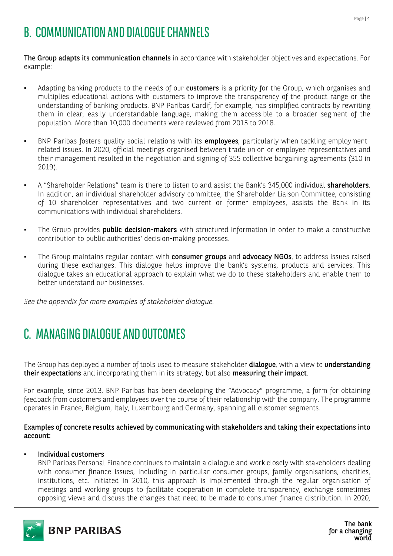### B. COMMUNICATION AND DIALOGUE CHANNELS

The Group adapts its communication channels in accordance with stakeholder objectives and expectations. For example:

- Adapting banking products to the needs of our customers is a priority for the Group, which organises and multiplies educational actions with customers to improve the transparency of the product range or the understanding of banking products. BNP Paribas Cardif, for example, has simplified contracts by rewriting them in clear, easily understandable language, making them accessible to a broader segment of the population. More than 10,000 documents were reviewed from 2015 to 2018.
- BNP Paribas fosters quality social relations with its employees, particularly when tackling employmentrelated issues. In 2020, official meetings organised between trade union or employee representatives and their management resulted in the negotiation and signing of 355 collective bargaining agreements (310 in 2019).
- A "Shareholder Relations" team is there to listen to and assist the Bank's 345,000 individual **shareholders**. In addition, an individual shareholder advisory committee, the Shareholder Liaison Committee, consisting of 10 shareholder representatives and two current or former employees, assists the Bank in its communications with individual shareholders.
- The Group provides **public decision-makers** with structured information in order to make a constructive contribution to public authorities' decision-making processes.
- The Group maintains regular contact with consumer groups and advocacy NGOs, to address issues raised during these exchanges. This dialogue helps improve the bank's systems, products and services. This dialogue takes an educational approach to explain what we do to these stakeholders and enable them to better understand our businesses.

*See the appendix for more examples of stakeholder dialogue.*

## C. MANAGING DIALOGUE AND OUTCOMES

The Group has deployed a number of tools used to measure stakeholder dialogue, with a view to understanding their expectations and incorporating them in its strategy, but also measuring their impact.

For example, since 2013, BNP Paribas has been developing the "Advocacy" programme, a form for obtaining feedback from customers and employees over the course of their relationship with the company. The programme operates in France, Belgium, Italy, Luxembourg and Germany, spanning all customer segments.

Examples of concrete results achieved by communicating with stakeholders and taking their expectations into account:

#### Individual customers

BNP Paribas Personal Finance continues to maintain a dialogue and work closely with stakeholders dealing with consumer finance issues, including in particular consumer groups, family organisations, charities, institutions, etc. Initiated in 2010, this approach is implemented through the regular organisation of meetings and working groups to facilitate cooperation in complete transparency, exchange sometimes opposing views and discuss the changes that need to be made to consumer finance distribution. In 2020,

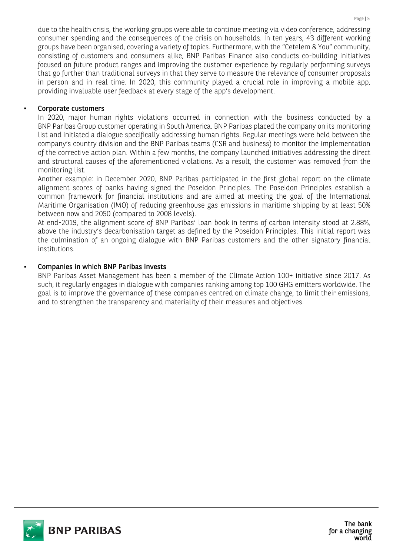due to the health crisis, the working groups were able to continue meeting via video conference, addressing consumer spending and the consequences of the crisis on households. In ten years, 43 different working groups have been organised, covering a variety of topics. Furthermore, with the "Cetelem & You" community, consisting of customers and consumers alike, BNP Paribas Finance also conducts co-building initiatives focused on future product ranges and improving the customer experience by regularly performing surveys that go further than traditional surveys in that they serve to measure the relevance of consumer proposals in person and in real time. In 2020, this community played a crucial role in improving a mobile app, providing invaluable user feedback at every stage of the app's development.

### Corporate customers

In 2020, major human rights violations occurred in connection with the business conducted by a BNP Paribas Group customer operating in South America. BNP Paribas placed the company on its monitoring list and initiated a dialogue specifically addressing human rights. Regular meetings were held between the company's country division and the BNP Paribas teams (CSR and business) to monitor the implementation of the corrective action plan. Within a few months, the company launched initiatives addressing the direct and structural causes of the aforementioned violations. As a result, the customer was removed from the monitoring list.

Another example: in December 2020, BNP Paribas participated in the first global report on the climate alignment scores of banks having signed the Poseidon Principles. The Poseidon Principles establish a common framework for financial institutions and are aimed at meeting the goal of the International Maritime Organisation (IMO) of reducing greenhouse gas emissions in maritime shipping by at least 50% between now and 2050 (compared to 2008 levels).

At end-2019, the alignment score of BNP Paribas' loan book in terms of carbon intensity stood at 2.88%, above the industry's decarbonisation target as defined by the Poseidon Principles. This initial report was the culmination of an ongoing dialogue with BNP Paribas customers and the other signatory financial institutions.

### Companies in which BNP Paribas invests

BNP Paribas Asset Management has been a member of the Climate Action 100+ initiative since 2017. As such, it regularly engages in dialogue with companies ranking among top 100 GHG emitters worldwide. The goal is to improve the governance of these companies centred on climate change, to limit their emissions, and to strengthen the transparency and materiality of their measures and objectives.

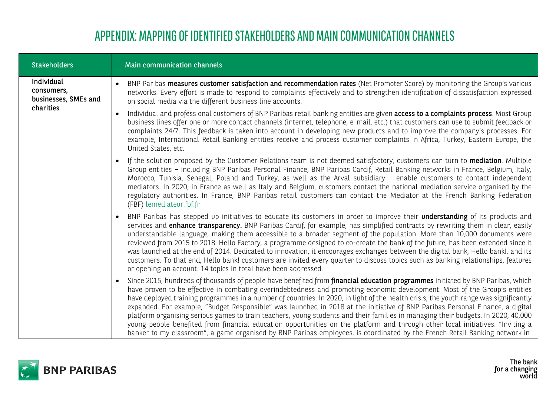## APPENDIX: MAPPING OF IDENTIFIED STAKEHOLDERS AND MAIN COMMUNICATION CHANNELS

| <b>Stakeholders</b>                                           | <b>Main communication channels</b>                                                                                                                                                                                                                                                                                                                                                                                                                                                                                                                                                                                                                                                                                                                                                                                                                                                                                                                 |
|---------------------------------------------------------------|----------------------------------------------------------------------------------------------------------------------------------------------------------------------------------------------------------------------------------------------------------------------------------------------------------------------------------------------------------------------------------------------------------------------------------------------------------------------------------------------------------------------------------------------------------------------------------------------------------------------------------------------------------------------------------------------------------------------------------------------------------------------------------------------------------------------------------------------------------------------------------------------------------------------------------------------------|
| Individual<br>consumers,<br>businesses, SMEs and<br>charities | BNP Paribas measures customer satisfaction and recommendation rates (Net Promoter Score) by monitoring the Group's various<br>networks. Every effort is made to respond to complaints effectively and to strengthen identification of dissatisfaction expressed<br>on social media via the different business line accounts.                                                                                                                                                                                                                                                                                                                                                                                                                                                                                                                                                                                                                       |
|                                                               | Individual and professional customers of BNP Paribas retail banking entities are given <b>access to a complaints process</b> . Most Group<br>business lines offer one or more contact channels (internet, telephone, e-mail, etc.) that customers can use to submit feedback or<br>complaints 24/7. This feedback is taken into account in developing new products and to improve the company's processes. For<br>example, International Retail Banking entities receive and process customer complaints in Africa, Turkey, Eastern Europe, the<br>United States, etc.                                                                                                                                                                                                                                                                                                                                                                             |
|                                                               | If the solution proposed by the Customer Relations team is not deemed satisfactory, customers can turn to mediation. Multiple<br>Group entities - including BNP Paribas Personal Finance, BNP Paribas Cardif, Retail Banking networks in France, Belgium, Italy,<br>Morocco, Tunisia, Senegal, Poland and Turkey, as well as the Arval subsidiary - enable customers to contact independent<br>mediators. In 2020, in France as well as Italy and Belgium, customers contact the national mediation service organised by the<br>regulatory authorities. In France, BNP Paribas retail customers can contact the Mediator at the French Banking Federation<br>(FBF) lemediateur.fbf.fr                                                                                                                                                                                                                                                              |
|                                                               | BNP Paribas has stepped up initiatives to educate its customers in order to improve their <b>understanding</b> of its products and<br>services and enhance transparency. BNP Paribas Cardif, for example, has simplified contracts by rewriting them in clear, easily<br>understandable language, making them accessible to a broader segment of the population. More than 10,000 documents were<br>reviewed from 2015 to 2018. Hello Factory, a programme designed to co-create the bank of the future, has been extended since it<br>was launched at the end of 2014. Dedicated to innovation, it encourages exchanges between the digital bank, Hello bank!, and its<br>customers. To that end, Hello bank! customers are invited every quarter to discuss topics such as banking relationships, features<br>or opening an account. 14 topics in total have been addressed.                                                                     |
|                                                               | Since 2015, hundreds of thousands of people have benefited from <b>financial education programmes</b> initiated by BNP Paribas, which<br>have proven to be effective in combating overindebtedness and promoting economic development. Most of the Group's entities<br>have deployed training programmes in a number of countries. In 2020, in light of the health crisis, the youth range was significantly<br>expanded. For example, "Budget Responsible" was launched in 2018 at the initiative of BNP Paribas Personal Finance, a digital<br>platform organising serious games to train teachers, young students and their families in managing their budgets. In 2020, 40,000<br>young people benefited from financial education opportunities on the platform and through other local initiatives. "Inviting a<br>banker to my classroom", a game organised by BNP Paribas employees, is coordinated by the French Retail Banking network in |



The bank<br>for a changing<br>world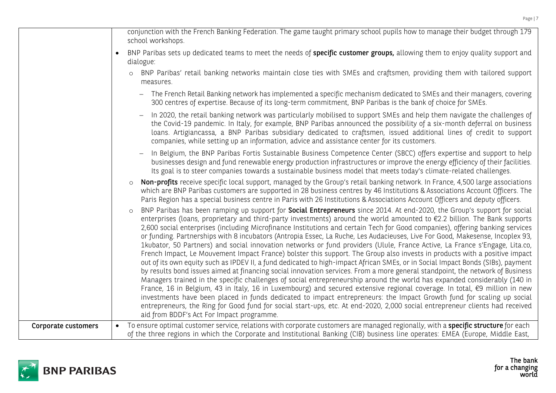|                     | conjunction with the French Banking Federation. The game taught primary school pupils how to manage their budget through 179<br>school workshops.                                                                                                                                                                                                                                                                                                                                                                                                                                                                                                                                                                                                                                                                                                                                                                                                                                                                                                                                                                                                                                                                                                                                                                                                                                                                                                                                                                                                                                                                                |
|---------------------|----------------------------------------------------------------------------------------------------------------------------------------------------------------------------------------------------------------------------------------------------------------------------------------------------------------------------------------------------------------------------------------------------------------------------------------------------------------------------------------------------------------------------------------------------------------------------------------------------------------------------------------------------------------------------------------------------------------------------------------------------------------------------------------------------------------------------------------------------------------------------------------------------------------------------------------------------------------------------------------------------------------------------------------------------------------------------------------------------------------------------------------------------------------------------------------------------------------------------------------------------------------------------------------------------------------------------------------------------------------------------------------------------------------------------------------------------------------------------------------------------------------------------------------------------------------------------------------------------------------------------------|
|                     | BNP Paribas sets up dedicated teams to meet the needs of specific customer groups, allowing them to enjoy quality support and<br>dialogue:                                                                                                                                                                                                                                                                                                                                                                                                                                                                                                                                                                                                                                                                                                                                                                                                                                                                                                                                                                                                                                                                                                                                                                                                                                                                                                                                                                                                                                                                                       |
|                     | BNP Paribas' retail banking networks maintain close ties with SMEs and craftsmen, providing them with tailored support<br>measures.                                                                                                                                                                                                                                                                                                                                                                                                                                                                                                                                                                                                                                                                                                                                                                                                                                                                                                                                                                                                                                                                                                                                                                                                                                                                                                                                                                                                                                                                                              |
|                     | The French Retail Banking network has implemented a specific mechanism dedicated to SMEs and their managers, covering<br>300 centres of expertise. Because of its long-term commitment, BNP Paribas is the bank of choice for SMEs.                                                                                                                                                                                                                                                                                                                                                                                                                                                                                                                                                                                                                                                                                                                                                                                                                                                                                                                                                                                                                                                                                                                                                                                                                                                                                                                                                                                              |
|                     | In 2020, the retail banking network was particularly mobilised to support SMEs and help them navigate the challenges of<br>the Covid-19 pandemic. In Italy, for example, BNP Paribas announced the possibility of a six-month deferral on business<br>loans. Artigiancassa, a BNP Paribas subsidiary dedicated to craftsmen, issued additional lines of credit to support<br>companies, while setting up an information, advice and assistance center for its customers.                                                                                                                                                                                                                                                                                                                                                                                                                                                                                                                                                                                                                                                                                                                                                                                                                                                                                                                                                                                                                                                                                                                                                         |
|                     | In Belgium, the BNP Paribas Fortis Sustainable Business Competence Center (SBCC) offers expertise and support to help<br>businesses design and fund renewable energy production infrastructures or improve the energy efficiency of their facilities.<br>Its goal is to steer companies towards a sustainable business model that meets today's climate-related challenges.                                                                                                                                                                                                                                                                                                                                                                                                                                                                                                                                                                                                                                                                                                                                                                                                                                                                                                                                                                                                                                                                                                                                                                                                                                                      |
|                     | <b>Non-profits</b> receive specific local support, managed by the Group's retail banking network. In France, 4,500 large associations<br>which are BNP Paribas customers are supported in 28 business centres by 46 Institutions & Associations Account Officers. The<br>Paris Region has a special business centre in Paris with 26 Institutions & Associations Account Officers and deputy officers.                                                                                                                                                                                                                                                                                                                                                                                                                                                                                                                                                                                                                                                                                                                                                                                                                                                                                                                                                                                                                                                                                                                                                                                                                           |
|                     | BNP Paribas has been ramping up support for <b>Social Entrepreneurs</b> since 2014. At end-2020, the Group's support for social<br>enterprises (loans, proprietary and third-party investments) around the world amounted to €2.2 billion. The Bank supports<br>2,600 social enterprises (including Microfinance Institutions and certain Tech for Good companies), offering banking services<br>or funding. Partnerships with 8 incubators (Antropia Essec, La Ruche, Les Audacieuses, Live For Good, Makesense, Incoplex 93,<br>1kubator, 50 Partners) and social innovation networks or fund providers (Ulule, France Active, La France s'Engage, Lita.co,<br>French Impact, Le Mouvement Impact France) bolster this support. The Group also invests in products with a positive impact<br>out of its own equity such as IPDEV II, a fund dedicated to high-impact African SMEs, or in Social Impact Bonds (SIBs), payment<br>by results bond issues aimed at financing social innovation services. From a more general standpoint, the network of Business<br>Managers trained in the specific challenges of social entrepreneurship around the world has expanded considerably (140 in<br>France, 16 in Belgium, 43 in Italy, 16 in Luxembourg) and secured extensive regional coverage. In total, €9 million in new<br>investments have been placed in funds dedicated to impact entrepreneurs: the Impact Growth fund for scaling up social<br>entrepreneurs, the Ring for Good fund for social start-ups, etc. At end-2020, 2,000 social entrepreneur clients had received<br>aid from BDDF's Act For Impact programme. |
| Corporate customers | To ensure optimal customer service, relations with corporate customers are managed regionally, with a specific structure for each<br>of the three regions in which the Corporate and Institutional Banking (CIB) business line operates: EMEA (Europe, Middle East,                                                                                                                                                                                                                                                                                                                                                                                                                                                                                                                                                                                                                                                                                                                                                                                                                                                                                                                                                                                                                                                                                                                                                                                                                                                                                                                                                              |

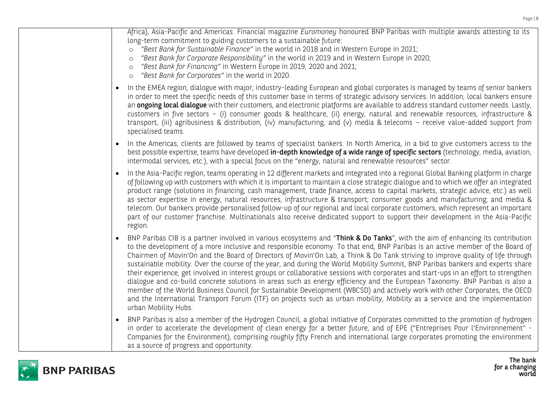| Africa), Asia-Pacific and Americas. Financial magazine Euromoney honoured BNP Paribas with multiple awards attesting to its<br>long-term commitment to guiding customers to a sustainable future:<br>"Best Bank for Sustainable Finance" in the world in 2018 and in Western Europe in 2021;<br>$\circ$<br>"Best Bank for Corporate Responsibility" in the world in 2019 and in Western Europe in 2020;<br>$\circ$<br>"Best Bank for Financing" in Western Europe in 2019, 2020 and 2021;<br>$\circ$<br>"Best Bank for Corporates" in the world in 2020.<br>$\circ$                                                                                                                                                                                                                                                                                                                                                                                                                                                                                                                              |
|--------------------------------------------------------------------------------------------------------------------------------------------------------------------------------------------------------------------------------------------------------------------------------------------------------------------------------------------------------------------------------------------------------------------------------------------------------------------------------------------------------------------------------------------------------------------------------------------------------------------------------------------------------------------------------------------------------------------------------------------------------------------------------------------------------------------------------------------------------------------------------------------------------------------------------------------------------------------------------------------------------------------------------------------------------------------------------------------------|
| In the EMEA region, dialogue with major, industry-leading European and global corporates is managed by teams of senior bankers<br>in order to meet the specific needs of this customer base in terms of strategic advisory services. In addition, local bankers ensure<br>an ongoing local dialogue with their customers, and electronic platforms are available to address standard customer needs. Lastly,<br>customers in five sectors - (i) consumer goods & healthcare, (ii) energy, natural and renewable resources, infrastructure &<br>transport, (iii) agribusiness & distribution, (iv) manufacturing, and (v) media & telecoms - receive value-added support from<br>specialised teams.                                                                                                                                                                                                                                                                                                                                                                                               |
| In the Americas, clients are followed by teams of specialist bankers. In North America, in a bid to give customers access to the<br>best possible expertise, teams have developed in-depth knowledge of a wide range of specific sectors (technology, media, aviation,<br>intermodal services, etc.), with a special focus on the "energy, natural and renewable resources" sector.                                                                                                                                                                                                                                                                                                                                                                                                                                                                                                                                                                                                                                                                                                              |
| In the Asia-Pacific region, teams operating in 12 different markets and integrated into a regional Global Banking platform in charge<br>of following up with customers with which it is important to maintain a close strategic dialogue and to which we offer an integrated<br>product range (solutions in financing, cash management, trade finance, access to capital markets, strategic advice, etc.) as well<br>as sector expertise in energy, natural resources, infrastructure & transport; consumer goods and manufacturing; and media &<br>telecom. Our bankers provide personalised follow-up of our regional and local corporate customers, which represent an important<br>part of our customer franchise. Multinationals also receive dedicated support to support their development in the Asia-Pacific<br>region.                                                                                                                                                                                                                                                                 |
| BNP Paribas CIB is a partner involved in various ecosystems and "Think & Do Tanks", with the aim of enhancing its contribution<br>to the development of a more inclusive and responsible economy. To that end, BNP Paribas is an active member of the Board of<br>Chairmen of Movin'On and the Board of Directors of Movin'On Lab, a Think & Do Tank striving to improve quality of life through<br>sustainable mobility. Over the course of the year, and during the World Mobility Summit, BNP Paribas bankers and experts share<br>their experience, get involved in interest groups or collaborative sessions with corporates and start-ups in an effort to strengthen<br>dialogue and co-build concrete solutions in areas such as energy efficiency and the European Taxonomy. BNP Paribas is also a<br>member of the World Business Council for Sustainable Development (WBCSD) and actively work with other Corporates, the OECD<br>and the International Transport Forum (ITF) on projects such as urban mobility, Mobility as a service and the implementation<br>urban Mobility Hubs. |
| BNP Paribas is also a member of the Hydrogen Council, a global initiative of Corporates committed to the promotion of hydrogen<br>in order to accelerate the development of clean energy for a better future, and of EPE ("Entreprises Pour l'Environnement" -<br>Companies for the Environment), comprising roughly fifty French and international large corporates promoting the environment<br>as a source of progress and opportunity.                                                                                                                                                                                                                                                                                                                                                                                                                                                                                                                                                                                                                                                       |



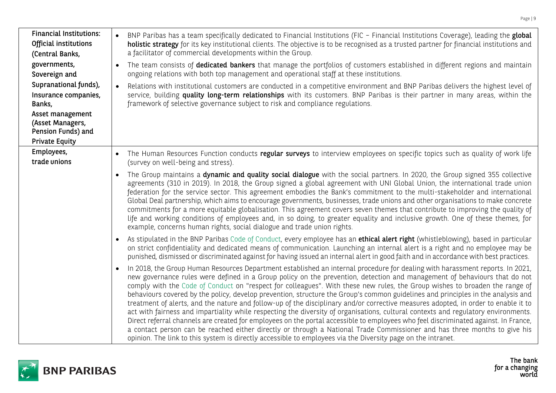| <b>Financial Institutions:</b><br>Official institutions<br>(Central Banks,<br>governments,<br>Sovereign and<br>Supranational funds),<br>Insurance companies,<br>Banks,<br>Asset management<br>(Asset Managers,<br>Pension Funds) and<br><b>Private Equity</b> | BNP Paribas has a team specifically dedicated to Financial Institutions (FIC - Financial Institutions Coverage), leading the global<br>holistic strategy for its key institutional clients. The objective is to be recognised as a trusted partner for financial institutions and<br>a facilitator of commercial developments within the Group.<br>The team consists of dedicated bankers that manage the portfolios of customers established in different regions and maintain<br>$\bullet$<br>ongoing relations with both top management and operational staff at these institutions.<br>Relations with institutional customers are conducted in a competitive environment and BNP Paribas delivers the highest level of<br>service, building quality long-term relationships with its customers. BNP Paribas is their partner in many areas, within the<br>framework of selective governance subject to risk and compliance regulations.                                                                                                                                                                                                                                                                                                                                                                                                         |
|---------------------------------------------------------------------------------------------------------------------------------------------------------------------------------------------------------------------------------------------------------------|-----------------------------------------------------------------------------------------------------------------------------------------------------------------------------------------------------------------------------------------------------------------------------------------------------------------------------------------------------------------------------------------------------------------------------------------------------------------------------------------------------------------------------------------------------------------------------------------------------------------------------------------------------------------------------------------------------------------------------------------------------------------------------------------------------------------------------------------------------------------------------------------------------------------------------------------------------------------------------------------------------------------------------------------------------------------------------------------------------------------------------------------------------------------------------------------------------------------------------------------------------------------------------------------------------------------------------------------------------|
| Employees,<br>trade unions                                                                                                                                                                                                                                    | The Human Resources Function conducts regular surveys to interview employees on specific topics such as quality of work life<br>(survey on well-being and stress).<br>The Group maintains a dynamic and quality social dialogue with the social partners. In 2020, the Group signed 355 collective<br>$\bullet$<br>agreements (310 in 2019). In 2018, the Group signed a global agreement with UNI Global Union, the international trade union<br>federation for the service sector. This agreement embodies the Bank's commitment to the multi-stakeholder and international                                                                                                                                                                                                                                                                                                                                                                                                                                                                                                                                                                                                                                                                                                                                                                       |
|                                                                                                                                                                                                                                                               | Global Deal partnership, which aims to encourage governments, businesses, trade unions and other organisations to make concrete<br>commitments for a more equitable globalisation. This agreement covers seven themes that contribute to improving the quality of<br>life and working conditions of employees and, in so doing, to greater equality and inclusive growth. One of these themes, for<br>example, concerns human rights, social dialogue and trade union rights.<br>As stipulated in the BNP Paribas Code of Conduct, every employee has an <b>ethical alert right</b> (whistleblowing), based in particular<br>$\bullet$<br>on strict confidentiality and dedicated means of communication. Launching an internal alert is a right and no employee may be                                                                                                                                                                                                                                                                                                                                                                                                                                                                                                                                                                             |
|                                                                                                                                                                                                                                                               | punished, dismissed or discriminated against for having issued an internal alert in good faith and in accordance with best practices.<br>In 2018, the Group Human Resources Department established an internal procedure for dealing with harassment reports. In 2021,<br>$\bullet$<br>new governance rules were defined in a Group policy on the prevention, detection and management of behaviours that do not<br>comply with the Code of Conduct on "respect for colleagues". With these new rules, the Group wishes to broaden the range of<br>behaviours covered by the policy, develop prevention, structure the Group's common guidelines and principles in the analysis and<br>treatment of alerts, and the nature and follow-up of the disciplinary and/or corrective measures adopted, in order to enable it to<br>act with fairness and impartiality while respecting the diversity of organisations, cultural contexts and regulatory environments.<br>Direct referral channels are created for employees on the portal accessible to employees who feel discriminated against. In France,<br>a contact person can be reached either directly or through a National Trade Commissioner and has three months to give his<br>opinion. The link to this system is directly accessible to employees via the Diversity page on the intranet. |

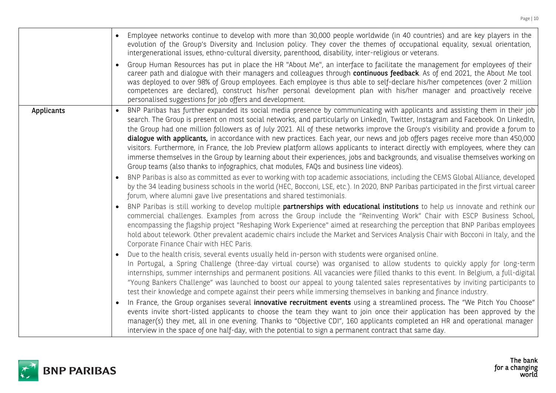|            | Employee networks continue to develop with more than 30,000 people worldwide (in 40 countries) and are key players in the<br>evolution of the Group's Diversity and Inclusion policy. They cover the themes of occupational equality, sexual orientation,<br>intergenerational issues, ethno-cultural diversity, parenthood, disability, inter-religious or veterans.                                                                                                                                                                                                                                                                                                                                                                                                                                                                                                                                                                                                                                                                                                                                                                                                                                                                                                                                                                                                                                                                                                                                                                                                                                                                                                                                                                                                                                                                                                                                                                                                                                                                                                                                                                                                                                                                                                                                                                                                                                                                                                                                                                                                                                                                                                                                                                                                                                                                                                                                                                                                                |
|------------|--------------------------------------------------------------------------------------------------------------------------------------------------------------------------------------------------------------------------------------------------------------------------------------------------------------------------------------------------------------------------------------------------------------------------------------------------------------------------------------------------------------------------------------------------------------------------------------------------------------------------------------------------------------------------------------------------------------------------------------------------------------------------------------------------------------------------------------------------------------------------------------------------------------------------------------------------------------------------------------------------------------------------------------------------------------------------------------------------------------------------------------------------------------------------------------------------------------------------------------------------------------------------------------------------------------------------------------------------------------------------------------------------------------------------------------------------------------------------------------------------------------------------------------------------------------------------------------------------------------------------------------------------------------------------------------------------------------------------------------------------------------------------------------------------------------------------------------------------------------------------------------------------------------------------------------------------------------------------------------------------------------------------------------------------------------------------------------------------------------------------------------------------------------------------------------------------------------------------------------------------------------------------------------------------------------------------------------------------------------------------------------------------------------------------------------------------------------------------------------------------------------------------------------------------------------------------------------------------------------------------------------------------------------------------------------------------------------------------------------------------------------------------------------------------------------------------------------------------------------------------------------------------------------------------------------------------------------------------------------|
|            | Group Human Resources has put in place the HR "About Me", an interface to facilitate the management for employees of their<br>career path and dialogue with their managers and colleagues through continuous feedback. As of end 2021, the About Me tool<br>was deployed to over 98% of Group employees. Each employee is thus able to self-declare his/her competences (over 2 million<br>competences are declared), construct his/her personal development plan with his/her manager and proactively receive<br>personalised suggestions for job offers and development.                                                                                                                                                                                                                                                                                                                                                                                                                                                                                                                                                                                                                                                                                                                                                                                                                                                                                                                                                                                                                                                                                                                                                                                                                                                                                                                                                                                                                                                                                                                                                                                                                                                                                                                                                                                                                                                                                                                                                                                                                                                                                                                                                                                                                                                                                                                                                                                                           |
| Applicants | BNP Paribas has further expanded its social media presence by communicating with applicants and assisting them in their job<br>search. The Group is present on most social networks, and particularly on LinkedIn, Twitter, Instagram and Facebook. On LinkedIn,<br>the Group had one million followers as of July 2021. All of these networks improve the Group's visibility and provide a forum to<br>dialogue with applicants, in accordance with new practices. Each year, our news and job offers pages receive more than 450,000<br>visitors. Furthermore, in France, the Job Preview platform allows applicants to interact directly with employees, where they can<br>immerse themselves in the Group by learning about their experiences, jobs and backgrounds, and visualise themselves working on<br>Group teams (also thanks to infographics, chat modules, FAQs and business line videos).<br>BNP Paribas is also as committed as ever to working with top academic associations, including the CEMS Global Alliance, developed<br>by the 34 leading business schools in the world (HEC, Bocconi, LSE, etc.). In 2020, BNP Paribas participated in the first virtual career<br>forum, where alumni gave live presentations and shared testimonials.<br>BNP Paribas is still working to develop multiple partnerships with educational institutions to help us innovate and rethink our<br>commercial challenges. Examples from across the Group include the "Reinventing Work" Chair with ESCP Business School,<br>encompassing the flagship project "Reshaping Work Experience" aimed at researching the perception that BNP Paribas employees<br>hold about telework. Other prevalent academic chairs include the Market and Services Analysis Chair with Bocconi in Italy, and the<br>Corporate Finance Chair with HEC Paris.<br>Due to the health crisis, several events usually held in-person with students were organised online.<br>In Portugal, a Spring Challenge (three-day virtual course) was organised to allow students to quickly apply for long-term<br>internships, summer internships and permanent positions. All vacancies were filled thanks to this event. In Belgium, a full-digital<br>"Young Bankers Challenge" was launched to boost our appeal to young talented sales representatives by inviting participants to<br>test their knowledge and compete against their peers while immersing themselves in banking and finance industry.<br>In France, the Group organises several innovative recruitment events using a streamlined process. The "We Pitch You Choose"<br>events invite short-listed applicants to choose the team they want to join once their application has been approved by the<br>manager(s) they met, all in one evening. Thanks to "Objective CDI", 160 applicants completed an HR and operational manager<br>interview in the space of one half-day, with the potential to sign a permanent contract that same day. |

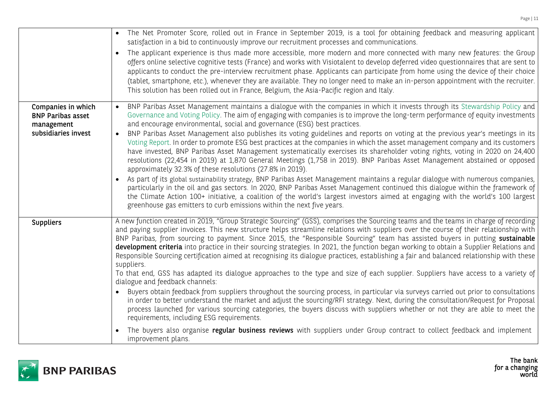|                                                                                     | • The Net Promoter Score, rolled out in France in September 2019, is a tool for obtaining feedback and measuring applicant<br>satisfaction in a bid to continuously improve our recruitment processes and communications.<br>The applicant experience is thus made more accessible, more modern and more connected with many new features: the Group<br>offers online selective cognitive tests (France) and works with Visiotalent to develop deferred video questionnaires that are sent to<br>applicants to conduct the pre-interview recruitment phase. Applicants can participate from home using the device of their choice<br>(tablet, smartphone, etc.), whenever they are available. They no longer need to make an in-person appointment with the recruiter.<br>This solution has been rolled out in France, Belgium, the Asia-Pacific region and Italy.                                                                                                                                                                                                                                                                                                                                                                                                                                                                                                                                                                                                                                   |
|-------------------------------------------------------------------------------------|------------------------------------------------------------------------------------------------------------------------------------------------------------------------------------------------------------------------------------------------------------------------------------------------------------------------------------------------------------------------------------------------------------------------------------------------------------------------------------------------------------------------------------------------------------------------------------------------------------------------------------------------------------------------------------------------------------------------------------------------------------------------------------------------------------------------------------------------------------------------------------------------------------------------------------------------------------------------------------------------------------------------------------------------------------------------------------------------------------------------------------------------------------------------------------------------------------------------------------------------------------------------------------------------------------------------------------------------------------------------------------------------------------------------------------------------------------------------------------------------------|
| Companies in which<br><b>BNP Paribas asset</b><br>management<br>subsidiaries invest | BNP Paribas Asset Management maintains a dialogue with the companies in which it invests through its Stewardship Policy and<br>$\bullet$<br>Governance and Voting Policy. The aim of engaging with companies is to improve the long-term performance of equity investments<br>and encourage environmental, social and governance (ESG) best practices.<br>BNP Paribas Asset Management also publishes its voting guidelines and reports on voting at the previous year's meetings in its<br>$\bullet$<br>Voting Report. In order to promote ESG best practices at the companies in which the asset management company and its customers<br>have invested, BNP Paribas Asset Management systematically exercises its shareholder voting rights, voting in 2020 on 24,400<br>resolutions (22,454 in 2019) at 1,870 General Meetings (1,758 in 2019). BNP Paribas Asset Management abstained or opposed<br>approximately 32.3% of these resolutions (27.8% in 2019).<br>As part of its global sustainability strategy, BNP Paribas Asset Management maintains a regular dialogue with numerous companies,<br>particularly in the oil and gas sectors. In 2020, BNP Paribas Asset Management continued this dialogue within the framework of<br>the Climate Action 100+ initiative, a coalition of the world's largest investors aimed at engaging with the world's 100 largest<br>greenhouse gas emitters to curb emissions within the next five years.                                                 |
| <b>Suppliers</b>                                                                    | A new function created in 2019, "Group Strategic Sourcing" (GSS), comprises the Sourcing teams and the teams in charge of recording<br>and paying supplier invoices. This new structure helps streamline relations with suppliers over the course of their relationship with<br>BNP Paribas, from sourcing to payment. Since 2015, the "Responsible Sourcing" team has assisted buyers in putting sustainable<br>development criteria into practice in their sourcing strategies. In 2021, the function began working to obtain a Supplier Relations and<br>Responsible Sourcing certification aimed at recognising its dialogue practices, establishing a fair and balanced relationship with these<br>suppliers.<br>To that end, GSS has adapted its dialogue approaches to the type and size of each supplier. Suppliers have access to a variety of<br>dialogue and feedback channels:<br>Buyers obtain feedback from suppliers throughout the sourcing process, in particular via surveys carried out prior to consultations<br>in order to better understand the market and adjust the sourcing/RFI strategy. Next, during the consultation/Request for Proposal<br>process launched for various sourcing categories, the buyers discuss with suppliers whether or not they are able to meet the<br>requirements, including ESG requirements.<br>The buyers also organise regular business reviews with suppliers under Group contract to collect feedback and implement<br>improvement plans. |

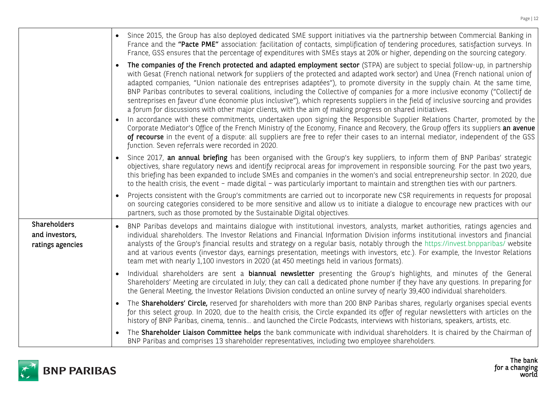|                                                           | Since 2015, the Group has also deployed dedicated SME support initiatives via the partnership between Commercial Banking in<br>France and the "Pacte PME" association: facilitation of contacts, simplification of tendering procedures, satisfaction surveys. In<br>France, GSS ensures that the percentage of expenditures with SMEs stays at 20% or higher, depending on the sourcing category.                                                                                                                                                                                                                                                                                                                                                                                                                                                                                                                                                                                                                                                                                                                                                                                                                                             |
|-----------------------------------------------------------|------------------------------------------------------------------------------------------------------------------------------------------------------------------------------------------------------------------------------------------------------------------------------------------------------------------------------------------------------------------------------------------------------------------------------------------------------------------------------------------------------------------------------------------------------------------------------------------------------------------------------------------------------------------------------------------------------------------------------------------------------------------------------------------------------------------------------------------------------------------------------------------------------------------------------------------------------------------------------------------------------------------------------------------------------------------------------------------------------------------------------------------------------------------------------------------------------------------------------------------------|
|                                                           | The companies of the French protected and adapted employment sector (STPA) are subject to special follow-up, in partnership<br>with Gesat (French national network for suppliers of the protected and adapted work sector) and Unea (French national union of<br>adapted companies, "Union nationale des entreprises adaptées"), to promote diversity in the supply chain. At the same time,<br>BNP Paribas contributes to several coalitions, including the Collective of companies for a more inclusive economy ("Collectif de<br>sentreprises en faveur d'une économie plus inclusive"), which represents suppliers in the field of inclusive sourcing and provides<br>a forum for discussions with other major clients, with the aim of making progress on shared initiatives.<br>In accordance with these commitments, undertaken upon signing the Responsible Supplier Relations Charter, promoted by the<br>Corporate Mediator's Office of the French Ministry of the Economy, Finance and Recovery, the Group offers its suppliers an avenue<br>of recourse in the event of a dispute: all suppliers are free to refer their cases to an internal mediator, independent of the GSS<br>function. Seven referrals were recorded in 2020. |
|                                                           | Since 2017, an annual briefing has been organised with the Group's key suppliers, to inform them of BNP Paribas' strategic<br>objectives, share regulatory news and identify reciprocal areas for improvement in responsible sourcing. For the past two years,<br>this briefing has been expanded to include SMEs and companies in the women's and social entrepreneurship sector. In 2020, due<br>to the health crisis, the event - made digital - was particularly important to maintain and strengthen ties with our partners.                                                                                                                                                                                                                                                                                                                                                                                                                                                                                                                                                                                                                                                                                                              |
|                                                           | Projects consistent with the Group's commitments are carried out to incorporate new CSR requirements in requests for proposal<br>on sourcing categories considered to be more sensitive and allow us to initiate a dialogue to encourage new practices with our<br>partners, such as those promoted by the Sustainable Digital objectives.                                                                                                                                                                                                                                                                                                                                                                                                                                                                                                                                                                                                                                                                                                                                                                                                                                                                                                     |
| <b>Shareholders</b><br>and investors,<br>ratings agencies | BNP Paribas develops and maintains dialogue with institutional investors, analysts, market authorities, ratings agencies and<br>individual shareholders. The Investor Relations and Financial Information Division informs institutional investors and financial<br>analysts of the Group's financial results and strategy on a regular basis, notably through the https://invest.bnpparibas/ website<br>and at various events (investor days, earnings presentation, meetings with investors, etc.). For example, the Investor Relations<br>team met with nearly 1,100 investors in 2020 (at 450 meetings held in various formats).                                                                                                                                                                                                                                                                                                                                                                                                                                                                                                                                                                                                           |
|                                                           | Individual shareholders are sent a <b>biannual newsletter</b> presenting the Group's highlights, and minutes of the General<br>$\mathcal{L}$ and $\mathcal{L}$ are the set of the set of the set of the set of the set of the set of the set of the set of the set of the set of the set of the set of the set of the set of the set of the set of the set of the set                                                                                                                                                                                                                                                                                                                                                                                                                                                                                                                                                                                                                                                                                                                                                                                                                                                                          |

- Shareholders' Meeting are circulated in July; they can call a dedicated phone number if they have any questions. In preparing for the General Meeting, the Investor Relations Division conducted an online survey of nearly 39,400 individual shareholders.
- The **Shareholders' Circle,** reserved for shareholders with more than 200 BNP Paribas shares, regularly organises special events for this select group. In 2020, due to the health crisis, the Circle expanded its offer of regular newsletters with articles on the history of BNP Paribas, cinema, tennis… and launched the Circle Podcasts, interviews with historians, speakers, artists, etc.
- The Shareholder Liaison Committee helps the bank communicate with individual shareholders. It is chaired by the Chairman of BNP Paribas and comprises 13 shareholder representatives, including two employee shareholders.

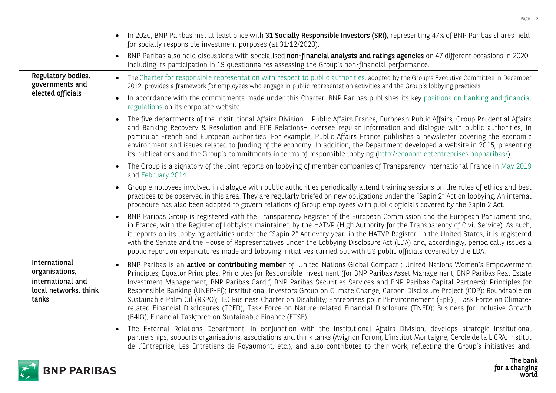|                                                                                        | In 2020, BNP Paribas met at least once with 31 Socially Responsible Investors (SRI), representing 47% of BNP Paribas shares held<br>for socially responsible investment purposes (at 31/12/2020).                                                                                                                                                                                                                                                                                                                                                                                                                                                                                                                                                                                                                                                                           |
|----------------------------------------------------------------------------------------|-----------------------------------------------------------------------------------------------------------------------------------------------------------------------------------------------------------------------------------------------------------------------------------------------------------------------------------------------------------------------------------------------------------------------------------------------------------------------------------------------------------------------------------------------------------------------------------------------------------------------------------------------------------------------------------------------------------------------------------------------------------------------------------------------------------------------------------------------------------------------------|
|                                                                                        | BNP Paribas also held discussions with specialised non-financial analysts and ratings agencies on 47 different occasions in 2020,<br>including its participation in 19 questionnaires assessing the Group's non-financial performance.                                                                                                                                                                                                                                                                                                                                                                                                                                                                                                                                                                                                                                      |
| Regulatory bodies,<br>governments and                                                  | The Charter for responsible representation with respect to public authorities, adopted by the Group's Executive Committee in December<br>2012, provides a framework for employees who engage in public representation activities and the Group's lobbying practices.                                                                                                                                                                                                                                                                                                                                                                                                                                                                                                                                                                                                        |
| elected officials                                                                      | In accordance with the commitments made under this Charter, BNP Paribas publishes its key positions on banking and financial<br>regulations on its corporate website.                                                                                                                                                                                                                                                                                                                                                                                                                                                                                                                                                                                                                                                                                                       |
|                                                                                        | The five departments of the Institutional Affairs Division - Public Affairs France, European Public Affairs, Group Prudential Affairs<br>and Banking Recovery & Resolution and ECB Relations- oversee regular information and dialogue with public authorities, in<br>particular French and European authorities. For example, Public Affairs France publishes a newsletter covering the economic<br>environment and issues related to funding of the economy. In addition, the Department developed a website in 2015, presenting<br>its publications and the Group's commitments in terms of responsible lobbying (http://economieetentreprises.bnpparibas/).                                                                                                                                                                                                             |
|                                                                                        | The Group is a signatory of the Joint reports on lobbying of member companies of Transparency International France in May 2019<br>and February 2014.                                                                                                                                                                                                                                                                                                                                                                                                                                                                                                                                                                                                                                                                                                                        |
|                                                                                        | Group employees involved in dialogue with public authorities periodically attend training sessions on the rules of ethics and best<br>practices to be observed in this area. They are regularly briefed on new obligations under the "Sapin 2" Act on lobbying. An internal<br>procedure has also been adopted to govern relations of Group employees with public officials covered by the Sapin 2 Act.                                                                                                                                                                                                                                                                                                                                                                                                                                                                     |
|                                                                                        | BNP Paribas Group is registered with the Transparency Register of the European Commission and the European Parliament and,<br>in France, with the Register of Lobbyists maintained by the HATVP (High Authority for the Transparency of Civil Service). As such,<br>it reports on its lobbying activities under the "Sapin 2" Act every year, in the HATVP Register. In the United States, it is registered<br>with the Senate and the House of Representatives under the Lobbying Disclosure Act (LDA) and, accordingly, periodically issues a<br>public report on expenditures made and lobbying initiatives carried out with US public officials covered by the LDA.                                                                                                                                                                                                     |
| International<br>organisations,<br>international and<br>local networks, think<br>tanks | BNP Paribas is an active or contributing member of: United Nations Global Compact; United Nations Women's Empowerment<br>$\bullet$<br>Principles; Equator Principles; Principles for Responsible Investment (for BNP Paribas Asset Management, BNP Paribas Real Estate<br>Investment Management, BNP Paribas Cardif, BNP Paribas Securities Services and BNP Paribas Capital Partners); Principles for<br>Responsible Banking (UNEP-FI); Institutional Investors Group on Climate Change; Carbon Disclosure Project (CDP); Roundtable on<br>Sustainable Palm Oil (RSPO); ILO Business Charter on Disability; Entreprises pour l'Environnement (EpE) ; Task Force on Climate-<br>related Financial Disclosures (TCFD), Task Force on Nature-related Financial Disclosure (TNFD); Business for Inclusive Growth<br>(B4IG); Financial Taskforce on Sustainable Finance (FTSF). |
|                                                                                        | The External Relations Department, in conjunction with the Institutional Affairs Division, develops strategic institutional<br>$\bullet$<br>partnerships, supports organisations, associations and think tanks (Avignon Forum, L'institut Montaigne, Cercle de la LICRA, Institut<br>de l'Entreprise, Les Entretiens de Royaumont, etc.), and also contributes to their work, reflecting the Group's initiatives and                                                                                                                                                                                                                                                                                                                                                                                                                                                        |

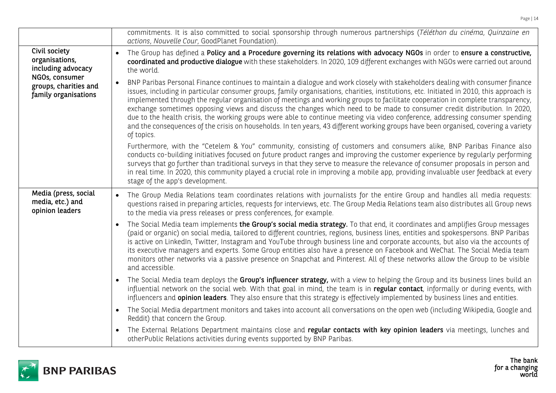|                                                                                                                          | commitments. It is also committed to social sponsorship through numerous partnerships (Téléthon du cinéma, Quinzaine en<br>actions, Nouvelle Cour, GoodPlanet Foundation).                                                                                                                                                                                                                                                                                                                                                                                                                                                                                                                                                                                                                                                                                                                                                                                                                                                                                                                                                                                                                                                                                                                                                                                                                                                                                                                                                                   |
|--------------------------------------------------------------------------------------------------------------------------|----------------------------------------------------------------------------------------------------------------------------------------------------------------------------------------------------------------------------------------------------------------------------------------------------------------------------------------------------------------------------------------------------------------------------------------------------------------------------------------------------------------------------------------------------------------------------------------------------------------------------------------------------------------------------------------------------------------------------------------------------------------------------------------------------------------------------------------------------------------------------------------------------------------------------------------------------------------------------------------------------------------------------------------------------------------------------------------------------------------------------------------------------------------------------------------------------------------------------------------------------------------------------------------------------------------------------------------------------------------------------------------------------------------------------------------------------------------------------------------------------------------------------------------------|
| Civil society<br>organisations,<br>including advocacy<br>NGOs, consumer<br>groups, charities and<br>family organisations | The Group has defined a Policy and a Procedure governing its relations with advocacy NGOs in order to ensure a constructive,<br>$\bullet$<br>coordinated and productive dialogue with these stakeholders. In 2020, 109 different exchanges with NGOs were carried out around<br>the world.<br>BNP Paribas Personal Finance continues to maintain a dialogue and work closely with stakeholders dealing with consumer finance<br>$\bullet$<br>issues, including in particular consumer groups, family organisations, charities, institutions, etc. Initiated in 2010, this approach is<br>implemented through the regular organisation of meetings and working groups to facilitate cooperation in complete transparency,<br>exchange sometimes opposing views and discuss the changes which need to be made to consumer credit distribution. In 2020,<br>due to the health crisis, the working groups were able to continue meeting via video conference, addressing consumer spending<br>and the consequences of the crisis on households. In ten years, 43 different working groups have been organised, covering a variety<br>of topics.<br>Furthermore, with the "Cetelem & You" community, consisting of customers and consumers alike, BNP Paribas Finance also<br>conducts co-building initiatives focused on future product ranges and improving the customer experience by regularly performing<br>surveys that go further than traditional surveys in that they serve to measure the relevance of consumer proposals in person and |
|                                                                                                                          | in real time. In 2020, this community played a crucial role in improving a mobile app, providing invaluable user feedback at every<br>stage of the app's development.                                                                                                                                                                                                                                                                                                                                                                                                                                                                                                                                                                                                                                                                                                                                                                                                                                                                                                                                                                                                                                                                                                                                                                                                                                                                                                                                                                        |
| Media (press, social<br>media, etc.) and<br>opinion leaders                                                              | The Group Media Relations team coordinates relations with journalists for the entire Group and handles all media requests:<br>$\bullet$<br>questions raised in preparing articles, requests for interviews, etc. The Group Media Relations team also distributes all Group news<br>to the media via press releases or press conferences, for example.                                                                                                                                                                                                                                                                                                                                                                                                                                                                                                                                                                                                                                                                                                                                                                                                                                                                                                                                                                                                                                                                                                                                                                                        |
|                                                                                                                          | The Social Media team implements the Group's social media strategy. To that end, it coordinates and amplifies Group messages<br>(paid or organic) on social media, tailored to different countries, regions, business lines, entities and spokespersons. BNP Paribas<br>is active on LinkedIn, Twitter, Instagram and YouTube through business line and corporate accounts, but also via the accounts of<br>its executive managers and experts. Some Group entities also have a presence on Facebook and WeChat. The Social Media team<br>monitors other networks via a passive presence on Snapchat and Pinterest. All of these networks allow the Group to be visible<br>and accessible.                                                                                                                                                                                                                                                                                                                                                                                                                                                                                                                                                                                                                                                                                                                                                                                                                                                   |
|                                                                                                                          | The Social Media team deploys the Group's influencer strategy, with a view to helping the Group and its business lines build an<br>$\bullet$<br>influential network on the social web. With that goal in mind, the team is in regular contact, informally or during events, with<br>influencers and <b>opinion leaders</b> . They also ensure that this strategy is effectively implemented by business lines and entities.                                                                                                                                                                                                                                                                                                                                                                                                                                                                                                                                                                                                                                                                                                                                                                                                                                                                                                                                                                                                                                                                                                                  |
|                                                                                                                          | The Social Media department monitors and takes into account all conversations on the open web (including Wikipedia, Google and<br>Reddit) that concern the Group.                                                                                                                                                                                                                                                                                                                                                                                                                                                                                                                                                                                                                                                                                                                                                                                                                                                                                                                                                                                                                                                                                                                                                                                                                                                                                                                                                                            |
|                                                                                                                          | The External Relations Department maintains close and regular contacts with key opinion leaders via meetings, lunches and<br>otherPublic Relations activities during events supported by BNP Paribas.                                                                                                                                                                                                                                                                                                                                                                                                                                                                                                                                                                                                                                                                                                                                                                                                                                                                                                                                                                                                                                                                                                                                                                                                                                                                                                                                        |



The bank<br>for a changing<br>world